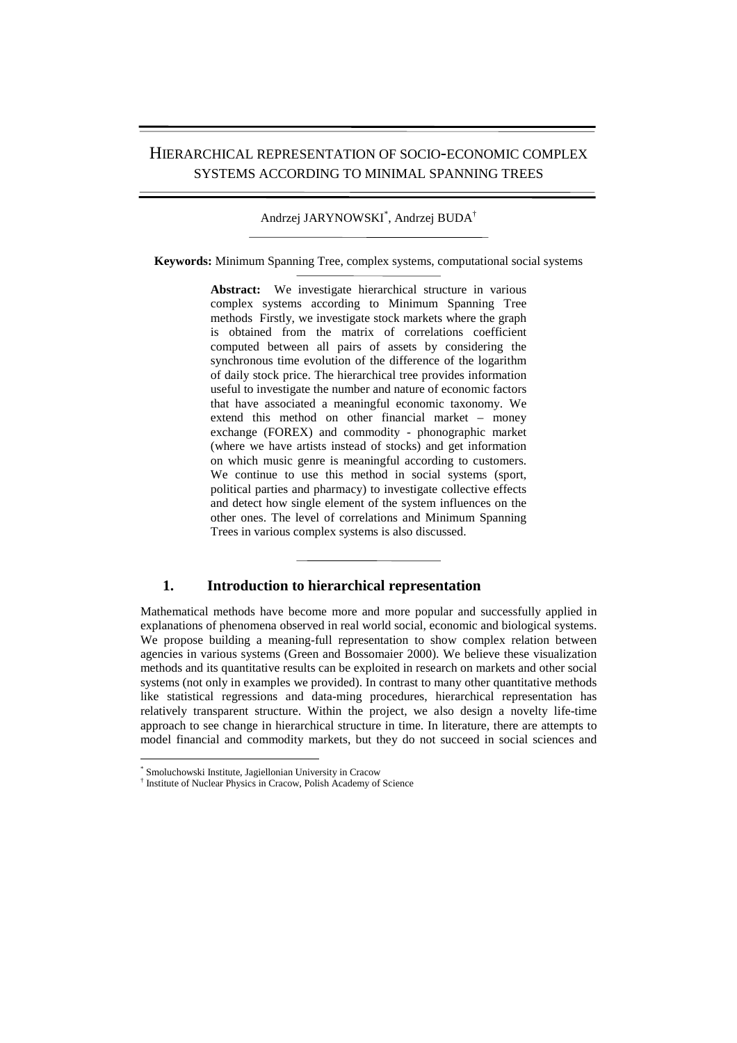# HIERARCHICAL REPRESENTATION OF SOCIO-ECONOMIC COMPLEX SYSTEMS ACCORDING TO MINIMAL SPANNING TREES

Andrzej JARYNOWSKI\* , Andrzej BUDA†

**Keywords:** Minimum Spanning Tree, complex systems, computational social systems

**Abstract:** We investigate hierarchical structure in various complex systems according to Minimum Spanning Tree methods Firstly, we investigate stock markets where the graph is obtained from the matrix of correlations coefficient computed between all pairs of assets by considering the synchronous time evolution of the difference of the logarithm of daily stock price. The hierarchical tree provides information useful to investigate the number and nature of economic factors that have associated a meaningful economic taxonomy. We extend this method on other financial market – money exchange (FOREX) and commodity - phonographic market (where we have artists instead of stocks) and get information on which music genre is meaningful according to customers. We continue to use this method in social systems (sport, political parties and pharmacy) to investigate collective effects and detect how single element of the system influences on the other ones. The level of correlations and Minimum Spanning Trees in various complex systems is also discussed.

## **1. Introduction to hierarchical representation**

Mathematical methods have become more and more popular and successfully applied in explanations of phenomena observed in real world social, economic and biological systems. We propose building a meaning-full representation to show complex relation between agencies in various systems (Green and Bossomaier 2000). We believe these visualization methods and its quantitative results can be exploited in research on markets and other social systems (not only in examples we provided). In contrast to many other quantitative methods like statistical regressions and data-ming procedures, hierarchical representation has relatively transparent structure. Within the project, we also design a novelty life-time approach to see change in hierarchical structure in time. In literature, there are attempts to model financial and commodity markets, but they do not succeed in social sciences and

 $\overline{a}$ 

<sup>\*</sup> Smoluchowski Institute, Jagiellonian University in Cracow

<sup>†</sup> Institute of Nuclear Physics in Cracow, Polish Academy of Science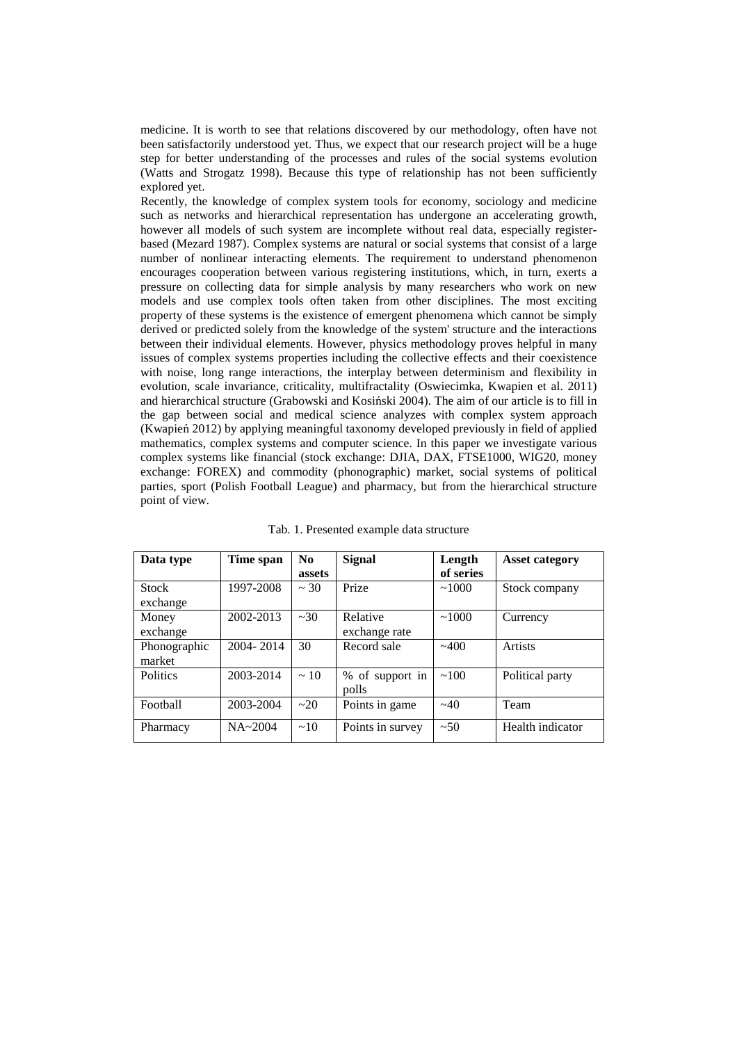medicine. It is worth to see that relations discovered by our methodology, often have not been satisfactorily understood yet. Thus, we expect that our research project will be a huge step for better understanding of the processes and rules of the social systems evolution (Watts and Strogatz 1998). Because this type of relationship has not been sufficiently explored yet.

Recently, the knowledge of complex system tools for economy, sociology and medicine such as networks and hierarchical representation has undergone an accelerating growth, however all models of such system are incomplete without real data, especially registerbased (Mezard 1987). Complex systems are natural or social systems that consist of a large number of nonlinear interacting elements. The requirement to understand phenomenon encourages cooperation between various registering institutions, which, in turn, exerts a pressure on collecting data for simple analysis by many researchers who work on new models and use complex tools often taken from other disciplines. The most exciting property of these systems is the existence of emergent phenomena which cannot be simply derived or predicted solely from the knowledge of the system' structure and the interactions between their individual elements. However, physics methodology proves helpful in many issues of complex systems properties including the collective effects and their coexistence with noise, long range interactions, the interplay between determinism and flexibility in evolution, scale invariance, criticality, multifractality (Oswiecimka, Kwapien et al. 2011) and hierarchical structure (Grabowski and Kosiński 2004). The aim of our article is to fill in the gap between social and medical science analyzes with complex system approach (Kwapień 2012) by applying meaningful taxonomy developed previously in field of applied mathematics, complex systems and computer science. In this paper we investigate various complex systems like financial (stock exchange: DJIA, DAX, FTSE1000, WIG20, money exchange: FOREX) and commodity (phonographic) market, social systems of political parties, sport (Polish Football League) and pharmacy, but from the hierarchical structure point of view.

| Data type       | Time span   | N <sub>0</sub> | <b>Signal</b>    | Length    | <b>Asset category</b> |
|-----------------|-------------|----------------|------------------|-----------|-----------------------|
|                 |             | assets         |                  | of series |                       |
| <b>Stock</b>    | 1997-2008   | $\sim$ 30      | Prize            | ~1000     | Stock company         |
| exchange        |             |                |                  |           |                       |
| Money           | 2002-2013   | ~230           | Relative         | ~1000     | Currency              |
| exchange        |             |                | exchange rate    |           |                       |
| Phonographic    | 2004-2014   | 30             | Record sale      | ~100      | Artists               |
| market          |             |                |                  |           |                       |
| <b>Politics</b> | 2003-2014   | $\sim$ 10      | % of support in  | ~100      | Political party       |
|                 |             |                | polls            |           |                       |
| Football        | 2003-2004   | $\sim$ 20      | Points in game   | $~1 - 40$ | Team                  |
|                 |             |                |                  |           |                       |
| Pharmacy        | $NA - 2004$ | $\sim$ 10      | Points in survey | ~50       | Health indicator      |

Tab. 1. Presented example data structure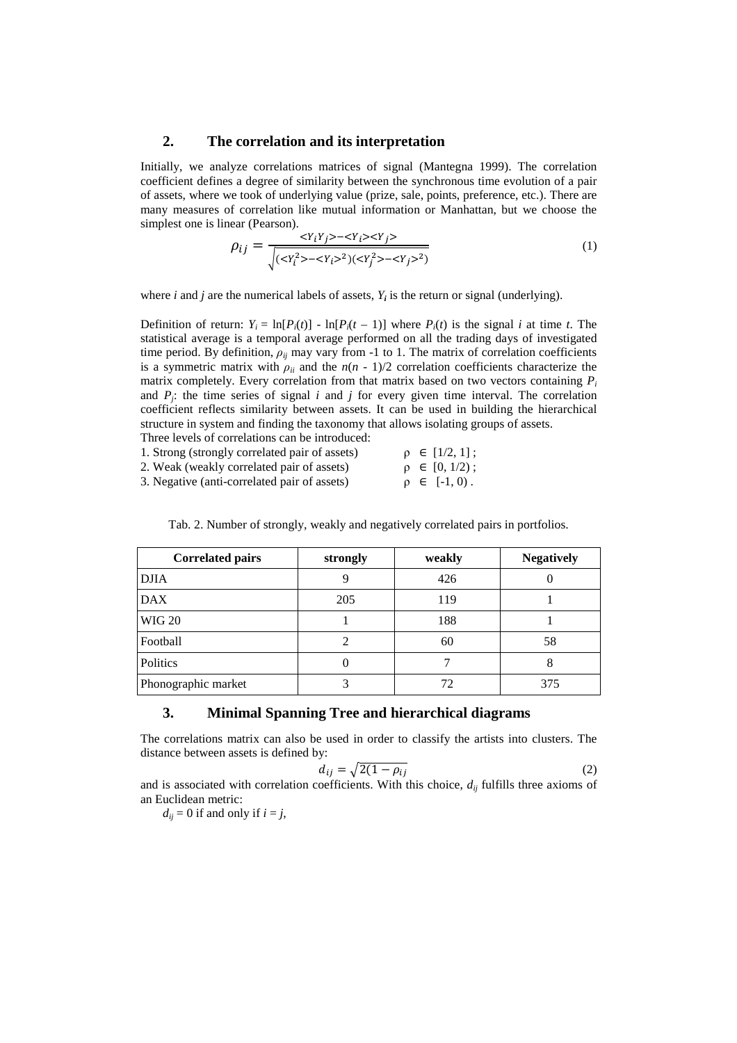## **2. The correlation and its interpretation**

Initially, we analyze correlations matrices of signal (Mantegna 1999). The correlation coefficient defines a degree of similarity between the synchronous time evolution of a pair of assets, where we took of underlying value (prize, sale, points, preference, etc.). There are many measures of correlation like mutual information or Manhattan, but we choose the simplest one is linear (Pearson).

$$
\rho_{ij} = \frac{\langle Y_i Y_j \rangle - \langle Y_i \rangle \langle Y_j \rangle}{\sqrt{(\langle Y_i^2 \rangle - \langle Y_i \rangle^2)(\langle Y_j^2 \rangle - \langle Y_j \rangle^2)}}
$$
(1)

where *i* and *j* are the numerical labels of assets,  $Y_i$  is the return or signal (underlying).

Definition of return:  $Y_i = \ln[P_i(t)] - \ln[P_i(t-1)]$  where  $P_i(t)$  is the signal *i* at time *t*. The statistical average is a temporal average performed on all the trading days of investigated time period. By definition,  $\rho_{ij}$  may vary from -1 to 1. The matrix of correlation coefficients is a symmetric matrix with  $\rho_{ii}$  and the  $n(n - 1)/2$  correlation coefficients characterize the matrix completely. Every correlation from that matrix based on two vectors containing *P<sup>i</sup>* and  $P_j$ ; the time series of signal  $i$  and  $j$  for every given time interval. The correlation coefficient reflects similarity between assets. It can be used in building the hierarchical structure in system and finding the taxonomy that allows isolating groups of assets. Three levels of correlations can be introduced:

| 1. Strong (strongly correlated pair of assets) | $\rho \in [1/2, 1]$ ; |
|------------------------------------------------|-----------------------|
| 2. Weak (weakly correlated pair of assets)     | $\rho \in [0, 1/2)$ ; |
| 3. Negative (anti-correlated pair of assets)   | $\rho \in [-1, 0)$ .  |

| <b>Correlated pairs</b> | strongly | weakly | <b>Negatively</b> |
|-------------------------|----------|--------|-------------------|
| <b>DJIA</b>             | 9        | 426    | $\theta$          |
| <b>DAX</b>              | 205      | 119    |                   |
| <b>WIG 20</b>           |          | 188    |                   |
| Football                |          | 60     | 58                |
| Politics                | 0        |        | 8                 |
| Phonographic market     |          | 72     | 375               |

Tab. 2. Number of strongly, weakly and negatively correlated pairs in portfolios.

## **3. Minimal Spanning Tree and hierarchical diagrams**

The correlations matrix can also be used in order to classify the artists into clusters. The distance between assets is defined by:

$$
d_{ij} = \sqrt{2(1 - \rho_{ij})} \tag{2}
$$

and is associated with correlation coefficients. With this choice,  $d_{ij}$  fulfills three axioms of an Euclidean metric:

 $d_{ij} = 0$  if and only if  $i = j$ ,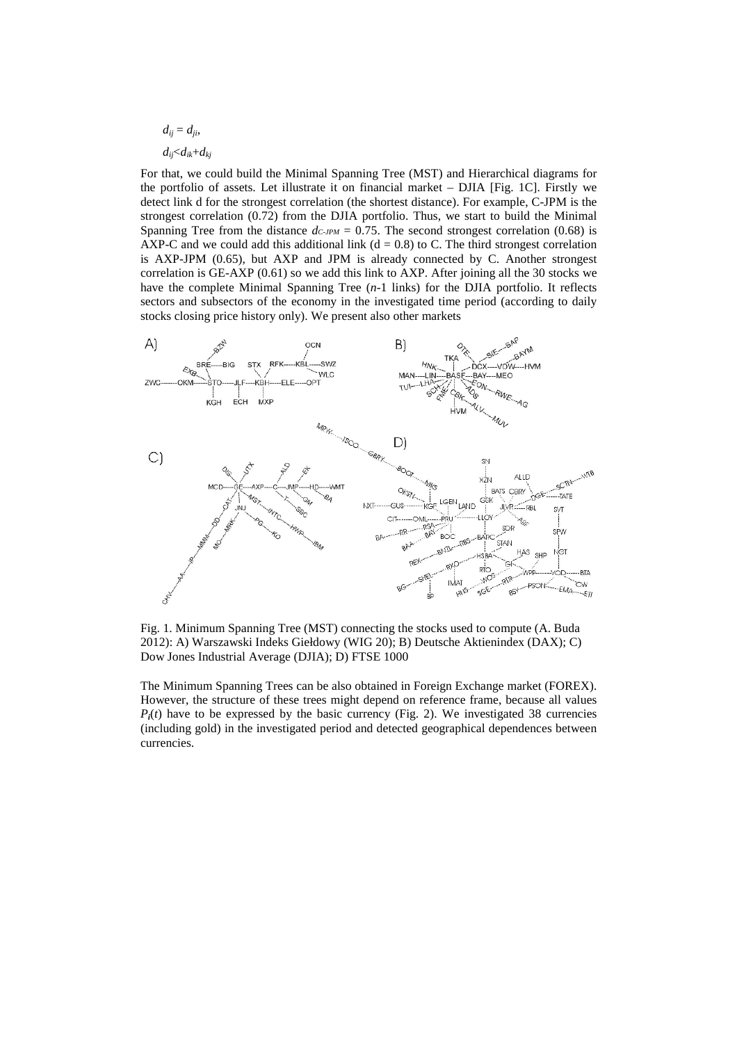$$
d_{ij} = d_{ji},
$$
  

$$
d_{ij} < d_{ik} + d_{kj}
$$

For that, we could build the Minimal Spanning Tree (MST) and Hierarchical diagrams for the portfolio of assets. Let illustrate it on financial market – DJIA [Fig. 1C]. Firstly we detect link d for the strongest correlation (the shortest distance). For example, C-JPM is the strongest correlation (0.72) from the DJIA portfolio. Thus, we start to build the Minimal Spanning Tree from the distance  $d_{C\text{-}JPM} = 0.75$ . The second strongest correlation (0.68) is AXP-C and we could add this additional link ( $d = 0.8$ ) to C. The third strongest correlation is AXP-JPM (0.65), but AXP and JPM is already connected by C. Another strongest correlation is GE-AXP  $(0.61)$  so we add this link to AXP. After joining all the 30 stocks we have the complete Minimal Spanning Tree (*n*-1 links) for the DJIA portfolio. It reflects sectors and subsectors of the economy in the investigated time period (according to daily stocks closing price history only). We present also other markets



Fig. 1. Minimum Spanning Tree (MST) connecting the stocks used to compute (A. Buda 2012): A) Warszawski Indeks Giełdowy (WIG 20); B) Deutsche Aktienindex (DAX); C) Dow Jones Industrial Average (DJIA); D) FTSE 1000

The Minimum Spanning Trees can be also obtained in Foreign Exchange market (FOREX). However, the structure of these trees might depend on reference frame, because all values  $P_i(t)$  have to be expressed by the basic currency (Fig. 2). We investigated 38 currencies (including gold) in the investigated period and detected geographical dependences between currencies.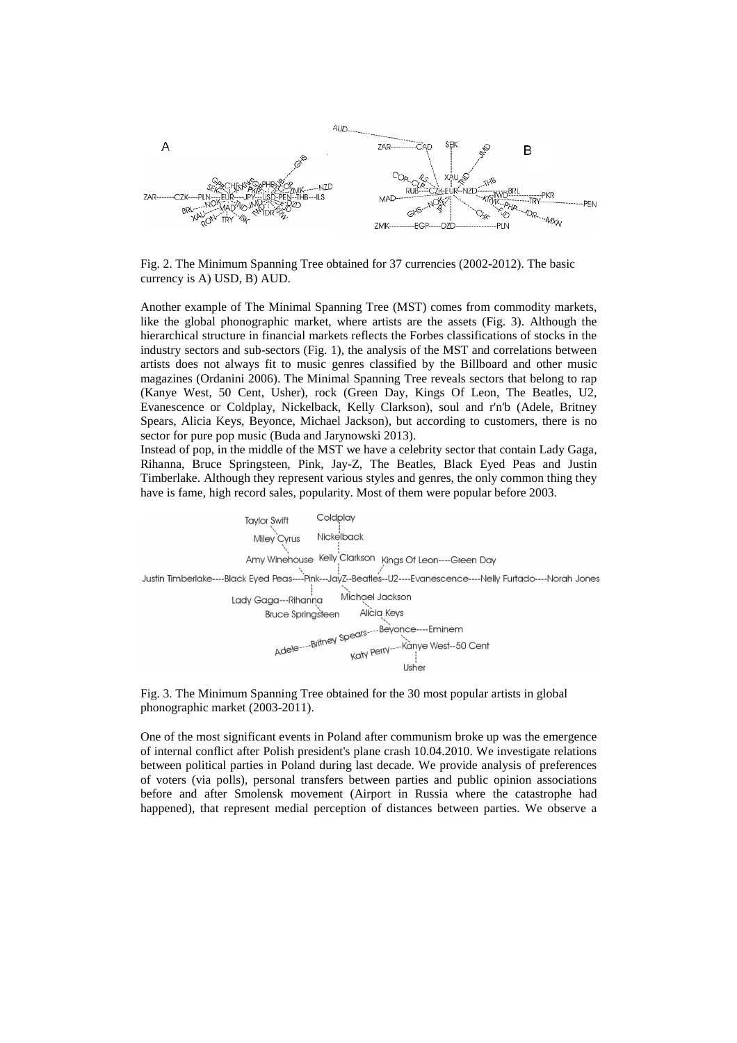

Fig. 2. The Minimum Spanning Tree obtained for 37 currencies (2002-2012). The basic currency is A) USD, B) AUD.

Another example of The Minimal Spanning Tree (MST) comes from commodity markets, like the global phonographic market, where artists are the assets (Fig. 3). Although the hierarchical structure in financial markets reflects the Forbes classifications of stocks in the industry sectors and sub-sectors (Fig. 1), the analysis of the MST and correlations between artists does not always fit to music genres classified by the Billboard and other music magazines (Ordanini 2006). The Minimal Spanning Tree reveals sectors that belong to rap (Kanye West, 50 Cent, Usher), rock (Green Day, Kings Of Leon, The Beatles, U2, Evanescence or Coldplay, Nickelback, Kelly Clarkson), soul and r'n'b (Adele, Britney Spears, Alicia Keys, Beyonce, Michael Jackson), but according to customers, there is no sector for pure pop music (Buda and Jarynowski 2013).

Instead of pop, in the middle of the MST we have a celebrity sector that contain Lady Gaga, Rihanna, Bruce Springsteen, Pink, Jay-Z, The Beatles, Black Eyed Peas and Justin Timberlake. Although they represent various styles and genres, the only common thing they have is fame, high record sales, popularity. Most of them were popular before 2003.



Fig. 3. The Minimum Spanning Tree obtained for the 30 most popular artists in global phonographic market (2003-2011).

One of the most significant events in Poland after communism broke up was the emergence of internal conflict after Polish president's plane crash 10.04.2010. We investigate relations between political parties in Poland during last decade. We provide analysis of preferences of voters (via polls), personal transfers between parties and public opinion associations before and after Smolensk movement (Airport in Russia where the catastrophe had happened), that represent medial perception of distances between parties. We observe a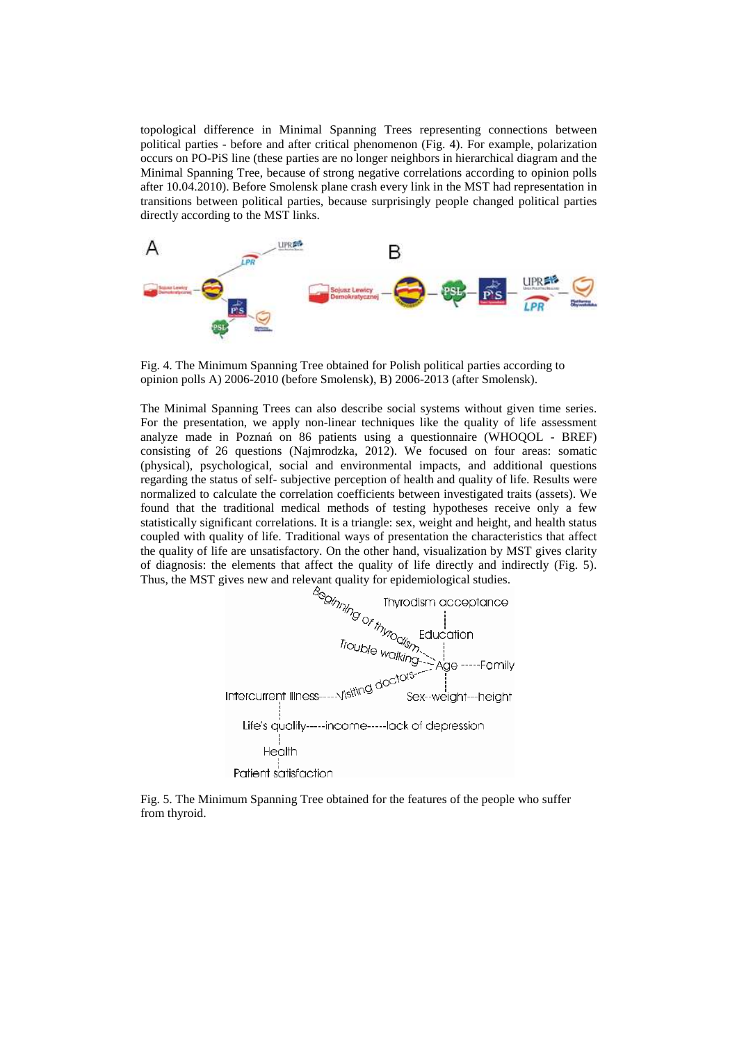topological difference in Minimal Spanning Trees representing connections between political parties - before and after critical phenomenon (Fig. 4). For example, polarization occurs on PO-PiS line (these parties are no longer neighbors in hierarchical diagram and the Minimal Spanning Tree, because of strong negative correlations according to opinion polls after 10.04.2010). Before Smolensk plane crash every link in the MST had representation in transitions between political parties, because surprisingly people changed political parties directly according to the MST links.





The Minimal Spanning Trees can also describe social systems without given time series. For the presentation, we apply non-linear techniques like the quality of life assessment analyze made in Poznań on 86 patients using a questionnaire (WHOQOL - BREF) consisting of 26 questions (Najmrodzka, 2012). We focused on four areas: somatic (physical), psychological, social and environmental impacts, and additional questions regarding the status of self- subjective perception of health and quality of life. Results were normalized to calculate the correlation coefficients between investigated traits (assets). We found that the traditional medical methods of testing hypotheses receive only a few statistically significant correlations. It is a triangle: sex, weight and height, and health status coupled with quality of life. Traditional ways of presentation the characteristics that affect the quality of life are unsatisfactory. On the other hand, visualization by MST gives clarity of diagnosis: the elements that affect the quality of life directly and indirectly (Fig. 5).



Fig. 5. The Minimum Spanning Tree obtained for the features of the people who suffer from thyroid.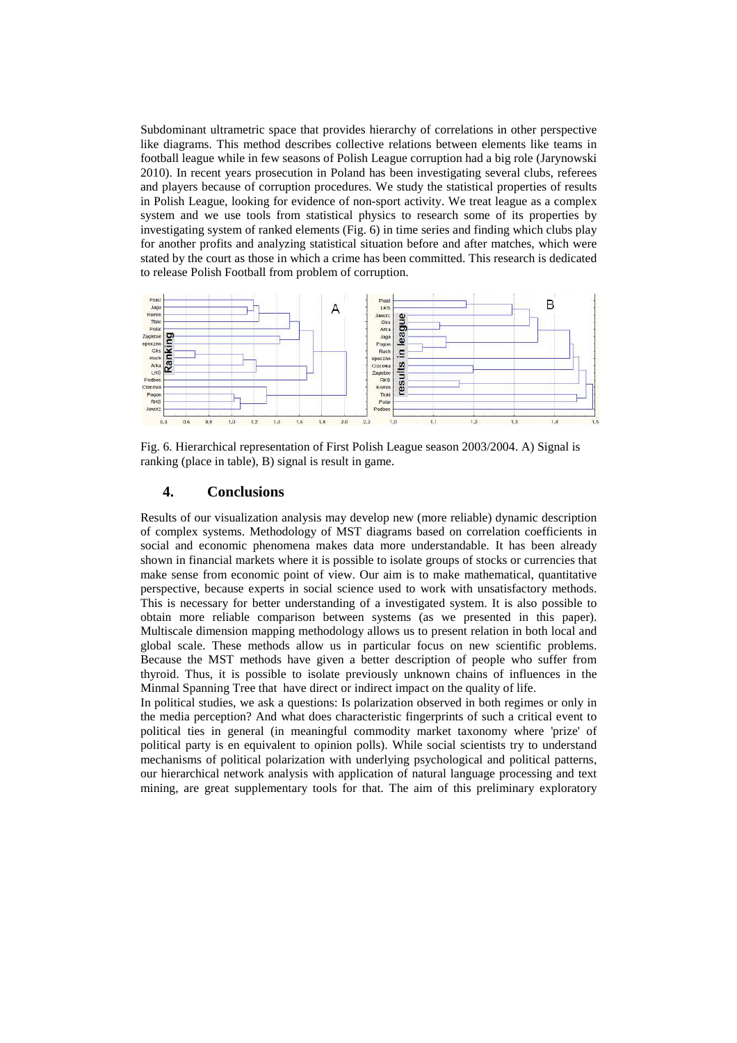Subdominant ultrametric space that provides hierarchy of correlations in other perspective like diagrams. This method describes collective relations between elements like teams in football league while in few seasons of Polish League corruption had a big role (Jarynowski 2010). In recent years prosecution in Poland has been investigating several clubs, referees and players because of corruption procedures. We study the statistical properties of results in Polish League, looking for evidence of non-sport activity. We treat league as a complex system and we use tools from statistical physics to research some of its properties by investigating system of ranked elements (Fig. 6) in time series and finding which clubs play for another profits and analyzing statistical situation before and after matches, which were stated by the court as those in which a crime has been committed. This research is dedicated to release Polish Football from problem of corruption.



Fig. 6. Hierarchical representation of First Polish League season 2003/2004. A) Signal is ranking (place in table), B) signal is result in game.

## **4. Conclusions**

Results of our visualization analysis may develop new (more reliable) dynamic description of complex systems. Methodology of MST diagrams based on correlation coefficients in social and economic phenomena makes data more understandable. It has been already shown in financial markets where it is possible to isolate groups of stocks or currencies that make sense from economic point of view. Our aim is to make mathematical, quantitative perspective, because experts in social science used to work with unsatisfactory methods. This is necessary for better understanding of a investigated system. It is also possible to obtain more reliable comparison between systems (as we presented in this paper). Multiscale dimension mapping methodology allows us to present relation in both local and global scale. These methods allow us in particular focus on new scientific problems. Because the MST methods have given a better description of people who suffer from thyroid. Thus, it is possible to isolate previously unknown chains of influences in the Minmal Spanning Tree that have direct or indirect impact on the quality of life.

In political studies, we ask a questions: Is polarization observed in both regimes or only in the media perception? And what does characteristic fingerprints of such a critical event to political ties in general (in meaningful commodity market taxonomy where 'prize' of political party is en equivalent to opinion polls). While social scientists try to understand mechanisms of political polarization with underlying psychological and political patterns, our hierarchical network analysis with application of natural language processing and text mining, are great supplementary tools for that. The aim of this preliminary exploratory